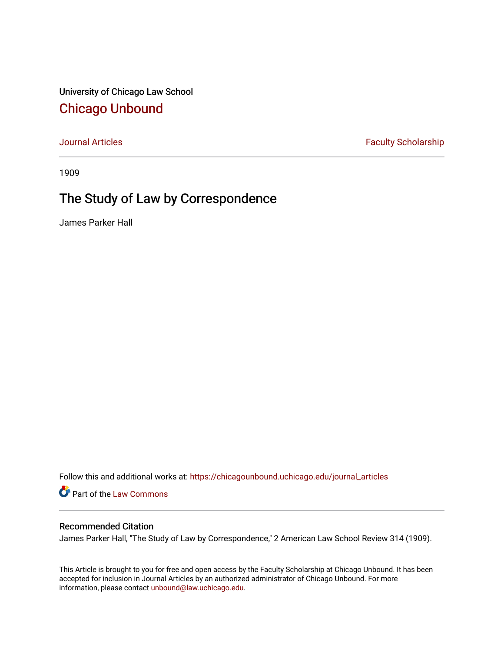University of Chicago Law School [Chicago Unbound](https://chicagounbound.uchicago.edu/)

[Journal Articles](https://chicagounbound.uchicago.edu/journal_articles) **Faculty Scholarship Faculty Scholarship** 

1909

## The Study of Law by Correspondence

James Parker Hall

Follow this and additional works at: [https://chicagounbound.uchicago.edu/journal\\_articles](https://chicagounbound.uchicago.edu/journal_articles?utm_source=chicagounbound.uchicago.edu%2Fjournal_articles%2F9534&utm_medium=PDF&utm_campaign=PDFCoverPages) 

Part of the [Law Commons](http://network.bepress.com/hgg/discipline/578?utm_source=chicagounbound.uchicago.edu%2Fjournal_articles%2F9534&utm_medium=PDF&utm_campaign=PDFCoverPages)

## Recommended Citation

James Parker Hall, "The Study of Law by Correspondence," 2 American Law School Review 314 (1909).

This Article is brought to you for free and open access by the Faculty Scholarship at Chicago Unbound. It has been accepted for inclusion in Journal Articles by an authorized administrator of Chicago Unbound. For more information, please contact [unbound@law.uchicago.edu](mailto:unbound@law.uchicago.edu).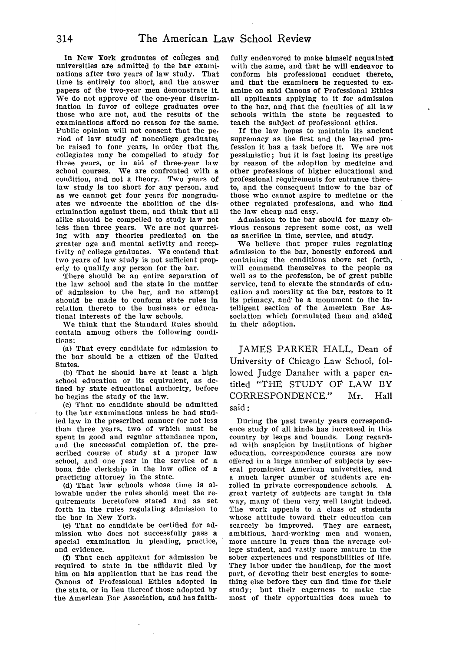In New York graduates of coileges and universities are admitted to the bar examinations after two years of law study. That time is entirely too short, and the answer papers of the two-year men demonstrate it. We do not approve of the one-year discrimination in favor of college graduates over those who are not, and the results of the examinations afford no reason for the same. Public opinion will not consent that the pe. riod of law study of noncollege graduates be raised to four years, in order that the collegiates may be compelled to study for three years, or in aid of three-year law school courses. We are confronted with a condition, and not a theory. Two years of law study is too short for any person, and as we cannot get four years for nongraduates we advocate the abolition of the discrimination against them, and think that all alike should he compelled to study law not less than three years. We are not quarreling with any theories predicated on the greater age and mental activity and receptivity of college graduates. We contend that two years of law study is not sufficient properly to qualify any person for the bar.

There should be an entire separation of the law school and the state in the matter of admission to the bar, and no attempt should be made to conform state rules in relation thereto to the business or educational interests of the law schools.

We think that the Standard Rules should contain among others the following conditions:

(a) That every candidate for admission to the bar should be a citizen of the United States.

**(b)** That he should have at least a high school education or its equivalent, as defined by state educational authority, before he begins the study of the law.

(c) That no candidate should be admitted to the bar examinations unless he had studied law in the prescribed manner for not less than three years, two of which must be spent in good and regular attendance upon, and the successful completion of, the prescribed course of study at a proper law school, and one year in the service of a bona fide clerkship in the law office of a practicing attorney in the state.

**(d)** That law schools whose time is allowable under the rules should meet the requirements heretofore stated and as set forth in the rules regulating admission to the bar in New York.

(e) That no candidate be certified for admission who does not successfully pass a special examination In pleading, practice, and evidence.

(f) That each applicant for admission be required to state in the affidavit filed by him on his application that he has read the Canons of Professional Ethics adopted in the state, or in lieu thereof those adopted by the American Bar Association, and has faithfully endeavored to make himself acquainted with the same, and that he will endeavor to conform his professional conduct thereto, and that the examiners be requested to examine on said Canons of Professional Ethics all applicants applying to it for admission to the bar, and that the faculties of all law schools within the state be requested to teach the subject of professional ethics.

If the law hopes to maintain its ancient supremacy as the first and the learned profession it has a task before it. We are not pessimistic; but it is fast losing its prestige by reason of the adoption by medicine and other professions of higher educational and professional requirements for entrance thereto, and the consequent inflow to the bar of those who cannot aspire to medicine or the other regulated professions, and who find the law cheap and easy.

Admission to the bar should for many obvious reasons represent some cost, as well as sacrifice in time, service, and study.

We believe that proper rules regulating admission to the bar, honestly enforced and containing the conditions above set forth, will commend themselves to the people as well as to the profession, be of great public service, tend to elevate the standards of education and morality at the bar, restore to It Its primacy, and be a monument to the intelligent section of the American Bar Association which formulated them and aided in their adoption.

JAMES PARKER HALL, Dean of University of Chicago Law School, followed Judge Danaher with a paper entitled "THE STUDY OF LAW BY CORRESPONDENCE." Mr. Hall said **:**

During the past twenty years correspondence study of all kinds has increased in this country by leaps and bounds. Long regarded with suspicion by institutions of higher education, correspondence courses are now offered in a large number of subjects by several prominent American universities, and a much larger number of students are enrolled in private correspondence schools. A great variety of subjects are taught in this way, many of them very. well taught indeed. The work appeals to a class of students whose attitude toward their education can scarcely be improved. They are earnest, ambitious, hard-working men and women, more mature in years than the average college student, and vastly more mature in the sober experiences and responsibilities of life. They labor under the handicap, for the most part, of devoting their best energies to something else before they can find time for their study; but their eagerness to make the most of their opportunities does much to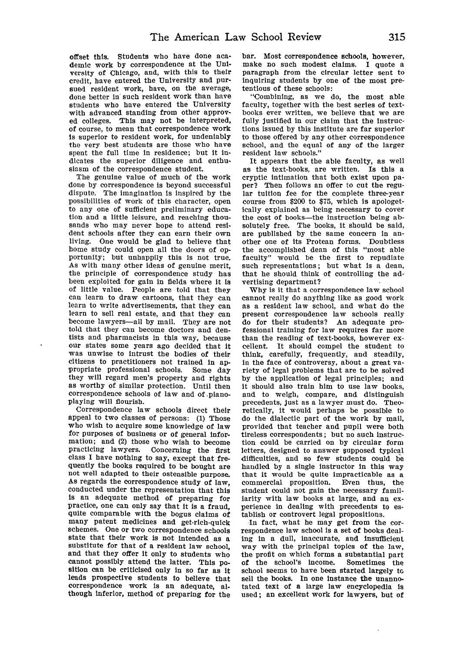offset this. Students who have done academic work **by** correspondence at the University of Chicago, and, with this to their credit, have entered the University and pursued resident work, have, on the average, done better in such resident work than have students who have entered the University with advanced standing from other approved colleges. This may not be interpreted, of course, to mean that correspondence work is superior to resident work, for undeniably the very best students are those who have spent the full time in residence; but it indicates the superior diligence and enthusiasm of the correspondence student.

The genuine value of much of the work done by correspondence is beyond successful dispute. The imagination is inspired by the possibilities of work of this character, open to any one of sufficient preliminary education and a little leisure, and reaching thousands who may never hope to attend resident schools after they can earn their own living. One would be glad to believe that home study could open all the doors of opportunity; but unhappily this is not true. As with many other ideas of genuine merit, the principle of correspondence study has been exploited for gain in fields where it Is of little value. People are told that they can learn to draw cartoons, that they can learn to write advertisements, that they can learn to sell real estate, and that they can become lawyers-all **by** mail. They are not told that they can become doctors and dentists and pharmacists in this way, because our states some years ago decided that it was unwise to intrust the bodies of their citizens to practitioners not trained In appropriate professional schools. Some day they will regard men's property and rights as worthy of similar protection. Until then correspondence schools of law and of -pianoplaying will flourish.

Correspondence law schools direct their appeal to two classes of persons: (1) Those who wish to acquire some knowledge of law for purposes of business or of general information; and (2) those who wish to become practicing lawyers. Concerning the first class I have nothing to say, except that frequently the books required to be bought are not well adapted to their ostensible purpose. As regards the correspondence study of law, conducted under the representation that this is an adequate method of preparing for practice, one can only say that it is a fraud, quite comparable with the bogus claims of many patent medicines and get-rich-quick schemes. One or two correspondence schools state that their work is not intended as a substitute for that of a resident law school, and that they offer It only to students who cannot possibly attend the latter. This position can be criticised only in so far as it leads prospective students to believe that correspondence work is an adequate, although inferior, method of preparing for the bar. Most correspondence schools, however, make no such modest claims. I quote a paragraph from the circular letter sent to Inquiring students by one of the most pretentious of these schools:

"Combining, as we do, the most able faculty, together with the best series of textbooks ever written, we believe that we are fully justified in our claim that the instructions issued by this institute are far superior to those offered by any other correspondence school, and the equal of any of the larger resident law schools."

It appears that the able faculty, as well as the text-books, are written. Is this a cryptic intimation that both exist upon paper? Then follows an offer to cut the regular tuition fee for the complete three-year course from \$200 to \$75, which is apologetically explained as being necessary to cover the cost of books-the instruction being absolutely free. The books, it should be said, are published by the same concern in another one of Its Protean forms. Doubtless the accomplished dean of this "most able faculty" would be the first to repudiate such representations; but what is a dean, that he should think of controlling the advertising department?

Why is it that a correspondence law school cannot really do anything like as good work as a resident law school, and what do the present correspondence law schools really do for their students? An adequate professional training for law requires far more than the reading of text-books, however excellent. It should compel the student to think, carefully, frequently, and steadily, in the face of controversy, about a great variety of legal problems that are to be solved by the application of legal principles; and it should also train him to use law books, and to weigh, compare, and distinguish precedents, just as a lawyer must do. Theoretically, it would perhaps be possible to do the dialectic part of the work by mail, provided that teacher and pupil were both tireless correspondents; but no such instruction could be carried on by circular form letters, designed to answer supposed typical difficulties, and so few students could be handled by a single instructor in this way that it would be quite impracticable as a commercial proposition. Even thus, the student could not gain the necessary familiarity with law books at large, and an experience in dealing with precedents to establish or controvert legal propositions.

In fact, what he may get from the correspondence law school is a set of books dealing in a dull, inaccurate, and Insufficient way with the principal topics of the law, the profit on which forms a substantial part of the school's income. Sometimes the school seems to have been started largely to sell the books. In one instance the unannotated text of a large law encyclopedia is used; an excellent work for lawyers, but of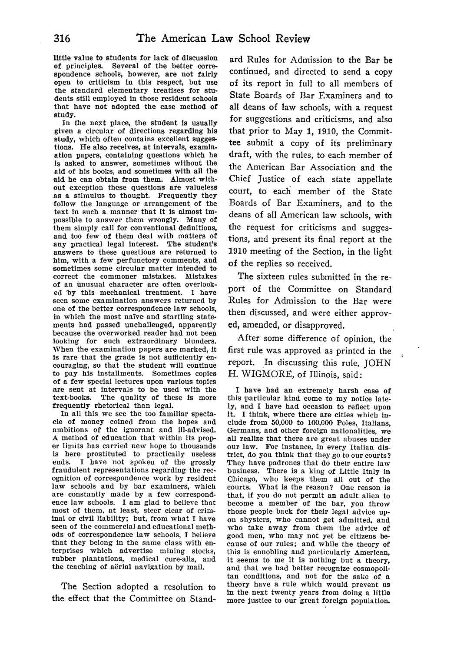little value to students for lack of discussion of principles. Several of the better correspondence schools, however, are not fairly open to criticism in this respect, but use the standard elementary treatises for students still employed in those resident schools that have not adopted the case method of study.

In the next place, the student Is usually given a circular of directions regarding his study, which often contains excellent suggestions. He also receives, at intervals, examination papers, containing questions which he is asked to answer, sometimes without the aid of his books, and sometimes with all the aid he can obtain from them. Almost without exception these questions are valueless as a stimulus to thought. Frequently they follow the language or arrangement of the text In such a manner that It is almost impossible to answer them wrongly. Many of them simply call for conventional definitions, and too few of them deal with matters of any practical legal interest. The student's answers to these questions are returned to him, with a few perfunctory comments, and sometimes some circular matter intended to correct the commoner mistakes. Mistakes of an unusual character are often overlooked by this mechanical treatment. I have seen some examination answers returned by one of the better correspondence law schools, in which the most naive and startling statements had passed unchallenged, apparently because the overworked reader had not been looking for such extraordinary blunders. When the examination papers are marked, it is rare that the grade is not sufficiently encouraging, so that the student will continue to pay his installments. Sometimes copies of a few special lectures upon various topics are sent at intervals to be used with the text-books. The quality of these is more frequently rhetorical than legal.

In all this we see the too familiar spectacle of money coined from the hopes and ambitions of the ignorant and Ill-advised. A method of education that within its proper limits has carried new hope to thousands is here prostituted to practically useless ends. I have not spoken of the grossly fraudulent representations regarding the recognition of correspondence work by resident law schools and by bar examiners, which are constantly made by a few correspondence law schools. I am glad to believe that most of them, at least, steer clear of criminal or civil liability; but, from what I have seen of the commercial and educational methods of correspondence law schools, I believe that they belong in the same class with enterprises which advertise mining stocks, rubber plantations, medical cure-alls, and the teaching of aërial navigation by mail.

The Section adopted a resolution to the effect that the Committee on Stand-

ard Rules for Admission to the Bar be continued, and directed to send a copy of its report in full to all members of State Boards of Bar Examiners and to all deans of law schools, with a request for suggestions and criticisms, and also that prior to May **1,** 1910, the Committee submit a copy of its preliminary draft, with the rules, to each member of the American Bar Association and the Chief Justice of each state appellate court, to each member of the State Boards of Bar Examiners, and to the deans of all American law schools, with the request for criticisms and suggestions, and present its final report at the 1910 meeting of the Section, in the light of the replies so received.

The sixteen rules submitted in the report of the Committee on Standard Rules for Admission to the Bar were then discussed, and were either approved, amended, or disapproved.

After some difference of opinion, the first rule was approved as printed in the report. In discussing this rule, JOHN H. WIGMORE, of Illinois, said:

I have had an extremely harsh case of this particular kind come to my notice lately, and I have had occasion to reflect upon It. I think, where there are cities which include from 50,000 to 100,000 Poles, Italians, Germans, and other foreign nationalities, we all realize that there are great abuses under<br>our law. For instance, in every Italian district, do you think that they go to our courts? They have padrones that do their entire law business. There is a king of Little Italy in Chicago, who keeps them all out of the courts. What is the reason? One reason is that, if you do not permit an adult alien to become a member of the bar, you throw those people back for their legal advice up- on shysters, who cannot get admitted, and who take away from them the advice of good men, who may not yet be citizens be- cause of our rules; and while the theory of this is ennobling and particularly American, it seems to me it is nothing but a theory, and that we had better recognize cosmopolitan conditions, and not for the sake of a theory have a rule which would prevent us in the next twenty years from doing a little more justice to our great foreign population.